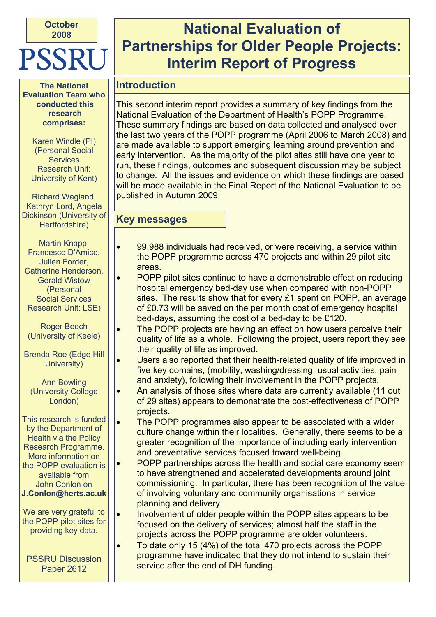**October 2008** 

# PSSRU

**The National Evaluation Team who conducted this research comprises:** 

Karen Windle (PI) (Personal Social **Services** Research Unit: University of Kent)

Richard Wagland, Kathryn Lord, Angela Dickinson (University of Hertfordshire)

Martin Knapp, Francesco D'Amico, Julien Forder, Catherine Henderson, Gerald Wistow (Personal Social Services Research Unit: LSE)

Roger Beech (University of Keele)

Brenda Roe (Edge Hill University)

Ann Bowling (University College London)

This research is funded by the Department of Health via the Policy Research Programme. More information on the POPP evaluation is available from John Conlon on **J.Conlon@herts.ac.uk**

We are very grateful to the POPP pilot sites for providing key data.

PSSRU Discussion Paper 2612

### **National Evaluation of Partnerships for Older People Projects: Interim Report of Progress**

### **Introduction**

This second interim report provides a summary of key findings from the National Evaluation of the Department of Health's POPP Programme. These summary findings are based on data collected and analysed over the last two years of the POPP programme (April 2006 to March 2008) and are made available to support emerging learning around prevention and early intervention. As the majority of the pilot sites still have one year to run, these findings, outcomes and subsequent discussion may be subject to change. All the issues and evidence on which these findings are based will be made available in the Final Report of the National Evaluation to be published in Autumn 2009.

### **Key messages**

- 99,988 individuals had received, or were receiving, a service within the POPP programme across 470 projects and within 29 pilot site areas.
- POPP pilot sites continue to have a demonstrable effect on reducing hospital emergency bed-day use when compared with non-POPP sites. The results show that for every £1 spent on POPP, an average of £0.73 will be saved on the per month cost of emergency hospital bed-days, assuming the cost of a bed-day to be £120.
- The POPP projects are having an effect on how users perceive their quality of life as a whole. Following the project, users report they see their quality of life as improved.
- Users also reported that their health-related quality of life improved in five key domains, (mobility, washing/dressing, usual activities, pain and anxiety), following their involvement in the POPP projects.
- An analysis of those sites where data are currently available (11 out of 29 sites) appears to demonstrate the cost-effectiveness of POPP projects.
	- The POPP programmes also appear to be associated with a wider culture change within their localities. Generally, there seems to be a greater recognition of the importance of including early intervention and preventative services focused toward well-being.
- POPP partnerships across the health and social care economy seem to have strengthened and accelerated developments around joint commissioning. In particular, there has been recognition of the value of involving voluntary and community organisations in service planning and delivery.
- Involvement of older people within the POPP sites appears to be focused on the delivery of services; almost half the staff in the projects across the POPP programme are older volunteers.
- To date only 15 (4%) of the total 470 projects across the POPP programme have indicated that they do not intend to sustain their service after the end of DH funding.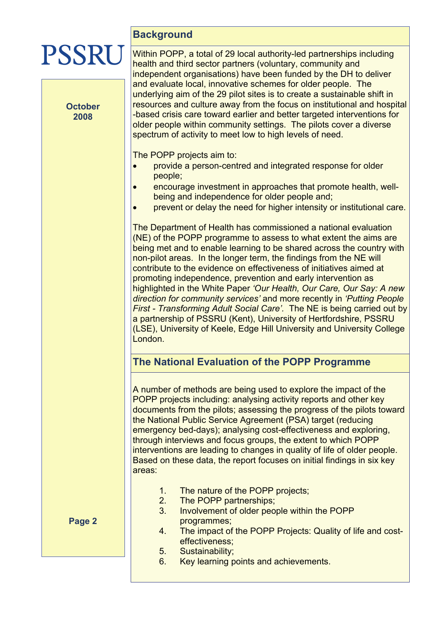# PSSRU

**October 2008** 

### **Background**

Within POPP, a total of 29 local authority-led partnerships including health and third sector partners (voluntary, community and independent organisations) have been funded by the DH to deliver and evaluate local, innovative schemes for older people. The underlying aim of the 29 pilot sites is to create a sustainable shift in resources and culture away from the focus on institutional and hospital -based crisis care toward earlier and better targeted interventions for older people within community settings. The pilots cover a diverse spectrum of activity to meet low to high levels of need.

The POPP projects aim to:

- provide a person-centred and integrated response for older people;
- encourage investment in approaches that promote health, wellbeing and independence for older people and;
- prevent or delay the need for higher intensity or institutional care.

The Department of Health has commissioned a national evaluation (NE) of the POPP programme to assess to what extent the aims are being met and to enable learning to be shared across the country with non-pilot areas. In the longer term, the findings from the NE will contribute to the evidence on effectiveness of initiatives aimed at promoting independence, prevention and early intervention as highlighted in the White Paper *'Our Health, Our Care, Our Say: A new direction for community services'* and more recently in *'Putting People First - Transforming Adult Social Care'.* The NE is being carried out by a partnership of PSSRU (Kent), University of Hertfordshire, PSSRU (LSE), University of Keele, Edge Hill University and University College London.

**The National Evaluation of the POPP Programme** 

A number of methods are being used to explore the impact of the POPP projects including: analysing activity reports and other key documents from the pilots; assessing the progress of the pilots toward the National Public Service Agreement (PSA) target (reducing emergency bed-days); analysing cost-effectiveness and exploring, through interviews and focus groups, the extent to which POPP interventions are leading to changes in quality of life of older people. Based on these data, the report focuses on initial findings in six key areas:

- 1. The nature of the POPP projects;
- 2. The POPP partnerships;
- 3. Involvement of older people within the POPP programmes;
- 4. The impact of the POPP Projects: Quality of life and costeffectiveness;
- 5. Sustainability;
- 6. Key learning points and achievements.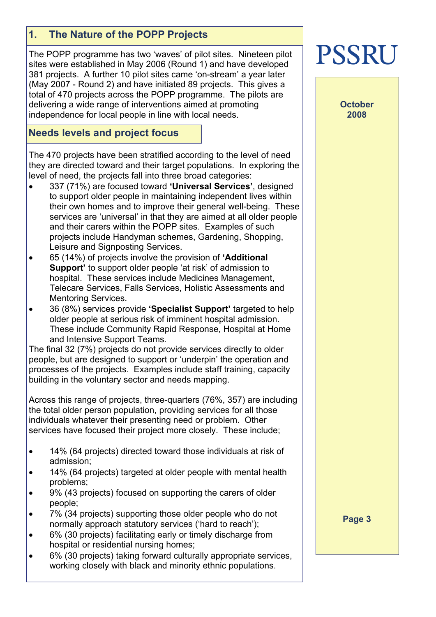### **1. The Nature of the POPP Projects**

The POPP programme has two 'waves' of pilot sites. Nineteen pilot sites were established in May 2006 (Round 1) and have developed 381 projects. A further 10 pilot sites came 'on-stream' a year later (May 2007 - Round 2) and have initiated 89 projects. This gives a total of 470 projects across the POPP programme. The pilots are delivering a wide range of interventions aimed at promoting independence for local people in line with local needs.

### **Needs levels and project focus**

The 470 projects have been stratified according to the level of need they are directed toward and their target populations. In exploring the level of need, the projects fall into three broad categories:

- 337 (71%) are focused toward **'Universal Services'**, designed to support older people in maintaining independent lives within their own homes and to improve their general well-being. These services are 'universal' in that they are aimed at all older people and their carers within the POPP sites. Examples of such projects include Handyman schemes, Gardening, Shopping, Leisure and Signposting Services.
- 65 (14%) of projects involve the provision of **'Additional Support'** to support older people 'at risk' of admission to hospital. These services include Medicines Management, Telecare Services, Falls Services, Holistic Assessments and Mentoring Services.
- 36 (8%) services provide **'Specialist Support'** targeted to help older people at serious risk of imminent hospital admission. These include Community Rapid Response, Hospital at Home and Intensive Support Teams.

The final 32 (7%) projects do not provide services directly to older people, but are designed to support or 'underpin' the operation and processes of the projects. Examples include staff training, capacity building in the voluntary sector and needs mapping.

Across this range of projects, three-quarters (76%, 357) are including the total older person population, providing services for all those individuals whatever their presenting need or problem. Other services have focused their project more closely. These include;

- 14% (64 projects) directed toward those individuals at risk of admission;
- 14% (64 projects) targeted at older people with mental health problems;
- 9% (43 projects) focused on supporting the carers of older people;
- 7% (34 projects) supporting those older people who do not normally approach statutory services ('hard to reach');
- 6% (30 projects) facilitating early or timely discharge from hospital or residential nursing homes;
- 6% (30 projects) taking forward culturally appropriate services, working closely with black and minority ethnic populations.

PSSRU

**October 2008**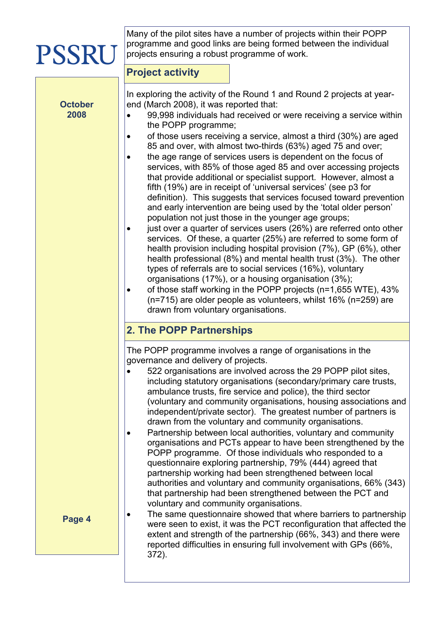## PSSRU

Many of the pilot sites have a number of projects within their POPP programme and good links are being formed between the individual projects ensuring a robust programme of work.

### **Project activity**

In exploring the activity of the Round 1 and Round 2 projects at yearend (March 2008), it was reported that: • 99,998 individuals had received or were receiving a service within the POPP programme; • of those users receiving a service, almost a third (30%) are aged 85 and over, with almost two-thirds (63%) aged 75 and over; the age range of services users is dependent on the focus of services, with 85% of those aged 85 and over accessing projects that provide additional or specialist support. However, almost a fifth (19%) are in receipt of 'universal services' (see p3 for definition). This suggests that services focused toward prevention and early intervention are being used by the 'total older person' population not just those in the younger age groups; • just over a quarter of services users (26%) are referred onto other services. Of these, a quarter (25%) are referred to some form of health provision including hospital provision (7%), GP (6%), other health professional (8%) and mental health trust (3%). The other types of referrals are to social services (16%), voluntary organisations (17%), or a housing organisation (3%); • of those staff working in the POPP projects (n=1,655 WTE), 43% (n=715) are older people as volunteers, whilst 16% (n=259) are drawn from voluntary organisations. The POPP programme involves a range of organisations in the governance and delivery of projects. • 522 organisations are involved across the 29 POPP pilot sites, **2. The POPP Partnerships October 2008** 

- including statutory organisations (secondary/primary care trusts, ambulance trusts, fire service and police), the third sector (voluntary and community organisations, housing associations and independent/private sector). The greatest number of partners is drawn from the voluntary and community organisations.
- Partnership between local authorities, voluntary and community organisations and PCTs appear to have been strengthened by the POPP programme. Of those individuals who responded to a questionnaire exploring partnership, 79% (444) agreed that partnership working had been strengthened between local authorities and voluntary and community organisations, 66% (343) that partnership had been strengthened between the PCT and voluntary and community organisations.

• The same questionnaire showed that where barriers to partnership were seen to exist, it was the PCT reconfiguration that affected the extent and strength of the partnership (66%, 343) and there were reported difficulties in ensuring full involvement with GPs (66%, 372).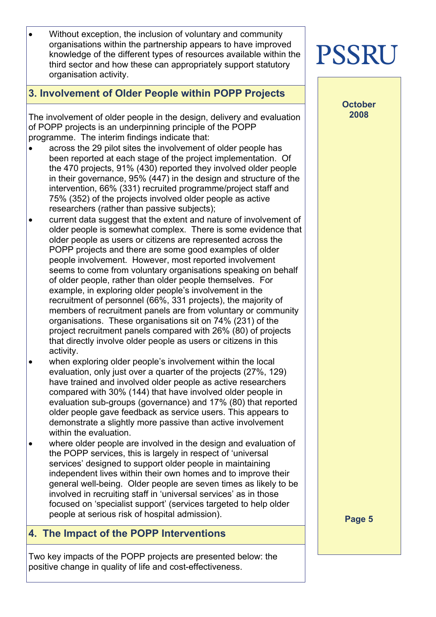• Without exception, the inclusion of voluntary and community organisations within the partnership appears to have improved knowledge of the different types of resources available within the third sector and how these can appropriately support statutory organisation activity.

#### **3. Involvement of Older People within POPP Projects**

The involvement of older people in the design, delivery and evaluation of POPP projects is an underpinning principle of the POPP programme. The interim findings indicate that:

- across the 29 pilot sites the involvement of older people has been reported at each stage of the project implementation. Of the 470 projects, 91% (430) reported they involved older people in their governance, 95% (447) in the design and structure of the intervention, 66% (331) recruited programme/project staff and 75% (352) of the projects involved older people as active researchers (rather than passive subjects);
- current data suggest that the extent and nature of involvement of older people is somewhat complex. There is some evidence that older people as users or citizens are represented across the POPP projects and there are some good examples of older people involvement. However, most reported involvement seems to come from voluntary organisations speaking on behalf of older people, rather than older people themselves. For example, in exploring older people's involvement in the recruitment of personnel (66%, 331 projects), the majority of members of recruitment panels are from voluntary or community organisations. These organisations sit on 74% (231) of the project recruitment panels compared with 26% (80) of projects that directly involve older people as users or citizens in this activity.
- when exploring older people's involvement within the local evaluation, only just over a quarter of the projects (27%, 129) have trained and involved older people as active researchers compared with 30% (144) that have involved older people in evaluation sub-groups (governance) and 17% (80) that reported older people gave feedback as service users. This appears to demonstrate a slightly more passive than active involvement within the evaluation.
- where older people are involved in the design and evaluation of the POPP services, this is largely in respect of 'universal services' designed to support older people in maintaining independent lives within their own homes and to improve their general well-being. Older people are seven times as likely to be involved in recruiting staff in 'universal services' as in those focused on 'specialist support' (services targeted to help older people at serious risk of hospital admission).

#### **4. The Impact of the POPP Interventions**

Two key impacts of the POPP projects are presented below: the positive change in quality of life and cost-effectiveness.

### PSSRU

**October 2008**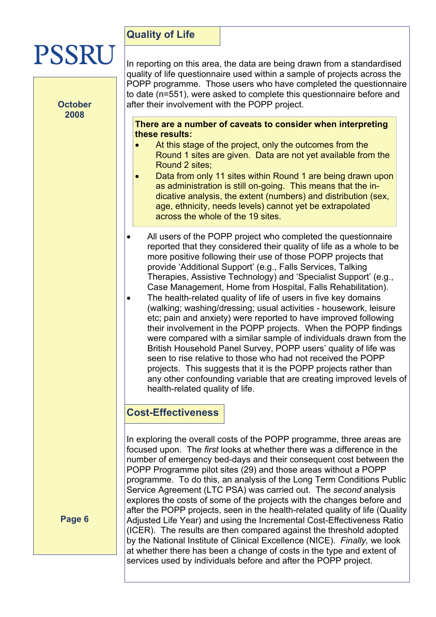## PSSRU

**October 2008** 

### **Quality of Life**

In reporting on this area, the data are being drawn from a standardised quality of life questionnaire used within a sample of projects across the POPP programme. Those users who have completed the questionnaire to date (n=551), were asked to complete this questionnaire before and after their involvement with the POPP project.

**There are a number of caveats to consider when interpreting these results:** 

- At this stage of the project, only the outcomes from the Round 1 sites are given. Data are not yet available from the Round 2 sites;
- Data from only 11 sites within Round 1 are being drawn upon as administration is still on-going. This means that the indicative analysis, the extent (numbers) and distribution (sex, age, ethnicity, needs levels) cannot yet be extrapolated across the whole of the 19 sites.
- All users of the POPP project who completed the questionnaire reported that they considered their quality of life as a whole to be more positive following their use of those POPP projects that provide 'Additional Support' (e.g., Falls Services, Talking Therapies, Assistive Technology) and 'Specialist Support' (e.g., Case Management, Home from Hospital, Falls Rehabilitation).
- The health-related quality of life of users in five key domains (walking; washing/dressing; usual activities - housework, leisure etc; pain and anxiety) were reported to have improved following their involvement in the POPP projects. When the POPP findings were compared with a similar sample of individuals drawn from the British Household Panel Survey, POPP users' quality of life was seen to rise relative to those who had not received the POPP projects. This suggests that it is the POPP projects rather than any other confounding variable that are creating improved levels of health-related quality of life.

### **Cost-Effectiveness**

In exploring the overall costs of the POPP programme, three areas are focused upon. The *first* looks at whether there was a difference in the number of emergency bed-days and their consequent cost between the POPP Programme pilot sites (29) and those areas without a POPP programme. To do this, an analysis of the Long Term Conditions Public Service Agreement (LTC PSA) was carried out. The *second* analysis explores the costs of some of the projects with the changes before and after the POPP projects, seen in the health-related quality of life (Quality Adjusted Life Year) and using the Incremental Cost-Effectiveness Ratio (ICER). The results are then compared against the threshold adopted by the National Institute of Clinical Excellence (NICE). *Finally,* we look at whether there has been a change of costs in the type and extent of services used by individuals before and after the POPP project.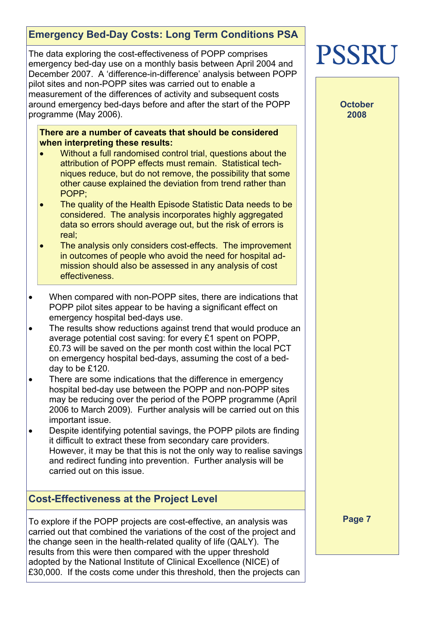### **Emergency Bed-Day Costs: Long Term Conditions PSA**

The data exploring the cost-effectiveness of POPP comprises emergency bed-day use on a monthly basis between April 2004 and December 2007. A 'difference-in-difference' analysis between POPP pilot sites and non-POPP sites was carried out to enable a measurement of the differences of activity and subsequent costs around emergency bed-days before and after the start of the POPP programme (May 2006).

#### **There are a number of caveats that should be considered when interpreting these results:**

- Without a full randomised control trial, questions about the attribution of POPP effects must remain. Statistical techniques reduce, but do not remove, the possibility that some other cause explained the deviation from trend rather than POPP;
- The quality of the Health Episode Statistic Data needs to be considered. The analysis incorporates highly aggregated data so errors should average out, but the risk of errors is real;
- The analysis only considers cost-effects. The improvement in outcomes of people who avoid the need for hospital admission should also be assessed in any analysis of cost effectiveness.
- When compared with non-POPP sites, there are indications that POPP pilot sites appear to be having a significant effect on emergency hospital bed-days use.
- The results show reductions against trend that would produce an average potential cost saving: for every £1 spent on POPP, £0.73 will be saved on the per month cost within the local PCT on emergency hospital bed-days, assuming the cost of a bedday to be £120.
- There are some indications that the difference in emergency hospital bed-day use between the POPP and non-POPP sites may be reducing over the period of the POPP programme (April 2006 to March 2009). Further analysis will be carried out on this important issue.
- Despite identifying potential savings, the POPP pilots are finding it difficult to extract these from secondary care providers. However, it may be that this is not the only way to realise savings and redirect funding into prevention. Further analysis will be carried out on this issue.

### **Cost-Effectiveness at the Project Level**

To explore if the POPP projects are cost-effective, an analysis was carried out that combined the variations of the cost of the project and the change seen in the health-related quality of life (QALY). The results from this were then compared with the upper threshold adopted by the National Institute of Clinical Excellence (NICE) of £30,000. If the costs come under this threshold, then the projects can PSSRU

**October 2008**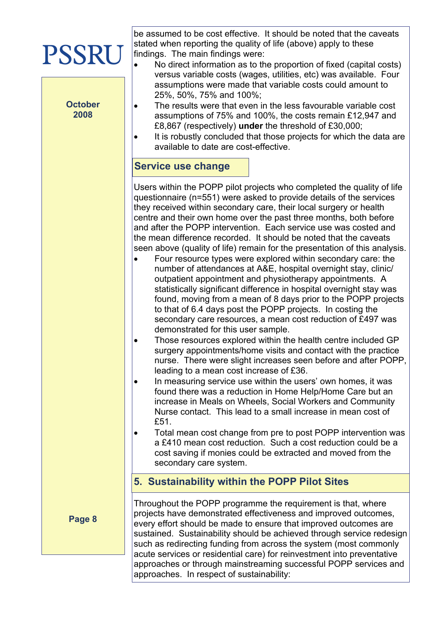| <b>PSSRU</b><br><b>October</b><br>2008 | be assumed to be cost effective. It should be noted that the caveats<br>stated when reporting the quality of life (above) apply to these<br>findings. The main findings were:<br>No direct information as to the proportion of fixed (capital costs)<br>versus variable costs (wages, utilities, etc) was available. Four<br>assumptions were made that variable costs could amount to<br>25%, 50%, 75% and 100%;<br>The results were that even in the less favourable variable cost<br>$\bullet$<br>assumptions of 75% and 100%, the costs remain £12,947 and<br>£8,867 (respectively) under the threshold of £30,000;                                                                                                                                                                                                                                                                                                                                                                                                                                                                                                                                                                                                                                                                                                                                                                                                                                                                                                                                                                                                                                                                                                                                                                                      |  |  |
|----------------------------------------|--------------------------------------------------------------------------------------------------------------------------------------------------------------------------------------------------------------------------------------------------------------------------------------------------------------------------------------------------------------------------------------------------------------------------------------------------------------------------------------------------------------------------------------------------------------------------------------------------------------------------------------------------------------------------------------------------------------------------------------------------------------------------------------------------------------------------------------------------------------------------------------------------------------------------------------------------------------------------------------------------------------------------------------------------------------------------------------------------------------------------------------------------------------------------------------------------------------------------------------------------------------------------------------------------------------------------------------------------------------------------------------------------------------------------------------------------------------------------------------------------------------------------------------------------------------------------------------------------------------------------------------------------------------------------------------------------------------------------------------------------------------------------------------------------------------|--|--|
|                                        | It is robustly concluded that those projects for which the data are<br>$\bullet$<br>available to date are cost-effective.<br><b>Service use change</b>                                                                                                                                                                                                                                                                                                                                                                                                                                                                                                                                                                                                                                                                                                                                                                                                                                                                                                                                                                                                                                                                                                                                                                                                                                                                                                                                                                                                                                                                                                                                                                                                                                                       |  |  |
|                                        | Users within the POPP pilot projects who completed the quality of life<br>questionnaire (n=551) were asked to provide details of the services<br>they received within secondary care, their local surgery or health<br>centre and their own home over the past three months, both before<br>and after the POPP intervention. Each service use was costed and<br>the mean difference recorded. It should be noted that the caveats<br>seen above (quality of life) remain for the presentation of this analysis.<br>Four resource types were explored within secondary care: the<br>number of attendances at A&E, hospital overnight stay, clinic/<br>outpatient appointment and physiotherapy appointments. A<br>statistically significant difference in hospital overnight stay was<br>found, moving from a mean of 8 days prior to the POPP projects<br>to that of 6.4 days post the POPP projects. In costing the<br>secondary care resources, a mean cost reduction of £497 was<br>demonstrated for this user sample.<br>Those resources explored within the health centre included GP<br>$\bullet$<br>surgery appointments/home visits and contact with the practice<br>nurse. There were slight increases seen before and after POPP,<br>leading to a mean cost increase of £36.<br>In measuring service use within the users' own homes, it was<br>$\bullet$<br>found there was a reduction in Home Help/Home Care but an<br>increase in Meals on Wheels, Social Workers and Community<br>Nurse contact. This lead to a small increase in mean cost of<br>£51.<br>Total mean cost change from pre to post POPP intervention was<br>$\bullet$<br>a £410 mean cost reduction. Such a cost reduction could be a<br>cost saving if monies could be extracted and moved from the<br>secondary care system. |  |  |
|                                        | 5. Sustainability within the POPP Pilot Sites                                                                                                                                                                                                                                                                                                                                                                                                                                                                                                                                                                                                                                                                                                                                                                                                                                                                                                                                                                                                                                                                                                                                                                                                                                                                                                                                                                                                                                                                                                                                                                                                                                                                                                                                                                |  |  |
| Page 8                                 | Throughout the POPP programme the requirement is that, where<br>projects have demonstrated effectiveness and improved outcomes,<br>every effort should be made to ensure that improved outcomes are<br>sustained. Sustainability should be achieved through service redesign<br>such as redirecting funding from across the system (most commonly<br>acute services or residential care) for reinvestment into preventative                                                                                                                                                                                                                                                                                                                                                                                                                                                                                                                                                                                                                                                                                                                                                                                                                                                                                                                                                                                                                                                                                                                                                                                                                                                                                                                                                                                  |  |  |
|                                        | approaches or through mainstreaming successful POPP services and                                                                                                                                                                                                                                                                                                                                                                                                                                                                                                                                                                                                                                                                                                                                                                                                                                                                                                                                                                                                                                                                                                                                                                                                                                                                                                                                                                                                                                                                                                                                                                                                                                                                                                                                             |  |  |

 $\mathbf{r}$ 

approaches. In respect of sustainability: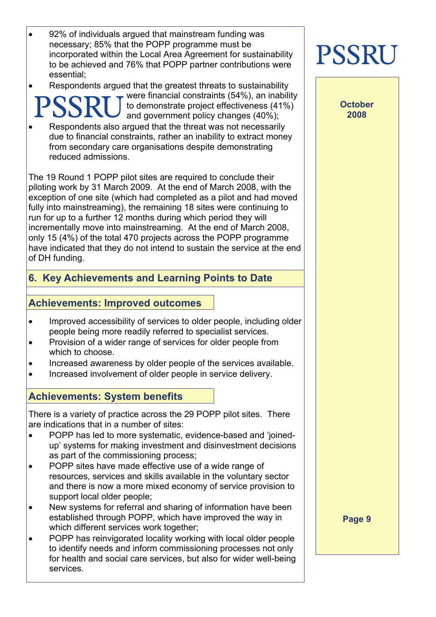- 92% of individuals argued that mainstream funding was necessary; 85% that the POPP programme must be incorporated within the Local Area Agreement for sustainability to be achieved and 76% that POPP partner contributions were essential;
- Respondents argued that the greatest threats to sustainability were financial constraints (54%), an inability to demonstrate project effectiveness (41%) and government policy changes (40%); PSSRU
- Respondents also argued that the threat was not necessarily due to financial constraints, rather an inability to extract money from secondary care organisations despite demonstrating reduced admissions.

The 19 Round 1 POPP pilot sites are required to conclude their piloting work by 31 March 2009. At the end of March 2008, with the exception of one site (which had completed as a pilot and had moved fully into mainstreaming), the remaining 18 sites were continuing to run for up to a further 12 months during which period they will incrementally move into mainstreaming. At the end of March 2008, only 15 (4%) of the total 470 projects across the POPP programme have indicated that they do not intend to sustain the service at the end of DH funding.

### **6. Key Achievements and Learning Points to Date**

#### **Achievements: Improved outcomes**

- Improved accessibility of services to older people, including older people being more readily referred to specialist services.
- Provision of a wider range of services for older people from which to choose.
- Increased awareness by older people of the services available.
- Increased involvement of older people in service delivery.

### **Achievements: System benefits**

There is a variety of practice across the 29 POPP pilot sites. There are indications that in a number of sites:

- POPP has led to more systematic, evidence-based and 'joinedup' systems for making investment and disinvestment decisions as part of the commissioning process;
- POPP sites have made effective use of a wide range of resources, services and skills available in the voluntary sector and there is now a more mixed economy of service provision to support local older people;
- New systems for referral and sharing of information have been established through POPP, which have improved the way in which different services work together;
- POPP has reinvigorated locality working with local older people to identify needs and inform commissioning processes not only for health and social care services, but also for wider well-being services.

### PSSRU

**October 2008**